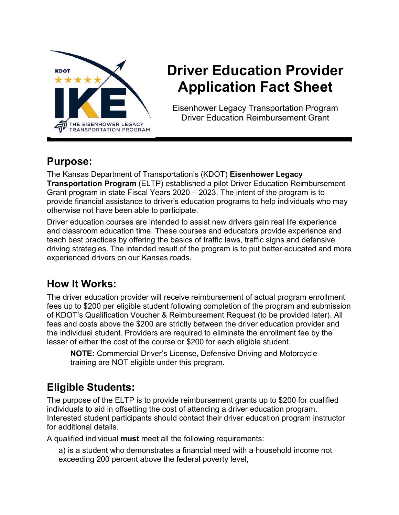

# **Driver Education Provider Application Fact Sheet**

Eisenhower Legacy Transportation Program Driver Education Reimbursement Grant

#### **Purpose:**

The Kansas Department of Transportation's (KDOT) **Eisenhower Legacy Transportation Program** (ELTP) established a pilot Driver Education Reimbursement Grant program in state Fiscal Years 2020 – 2023. The intent of the program is to provide financial assistance to driver's education programs to help individuals who may otherwise not have been able to participate.

Driver education courses are intended to assist new drivers gain real life experience and classroom education time. These courses and educators provide experience and teach best practices by offering the basics of traffic laws, traffic signs and defensive driving strategies. The intended result of the program is to put better educated and more experienced drivers on our Kansas roads.

### **How It Works:**

The driver education provider will receive reimbursement of actual program enrollment fees up to \$200 per eligible student following completion of the program and submission of KDOT's Qualification Voucher & Reimbursement Request (to be provided later). All fees and costs above the \$200 are strictly between the driver education provider and the individual student. Providers are required to eliminate the enrollment fee by the lesser of either the cost of the course or \$200 for each eligible student.

**NOTE:** Commercial Driver's License, Defensive Driving and Motorcycle training are NOT eligible under this program.

## **Eligible Students:**

The purpose of the ELTP is to provide reimbursement grants up to \$200 for qualified individuals to aid in offsetting the cost of attending a driver education program. Interested student participants should contact their driver education program instructor for additional details.

A qualified individual **must** meet all the following requirements:

a) is a student who demonstrates a financial need with a household income not exceeding 200 percent above the federal poverty level,